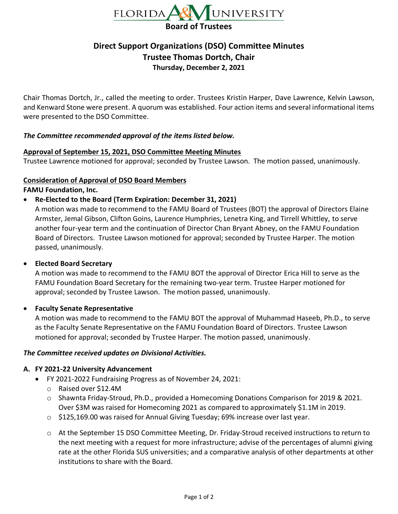

# **Direct Support Organizations (DSO) Committee Minutes Trustee Thomas Dortch, Chair Thursday, December 2, 2021**

Chair Thomas Dortch, Jr., called the meeting to order. Trustees Kristin Harper, Dave Lawrence, Kelvin Lawson, and Kenward Stone were present. A quorum was established. Four action items and several informational items were presented to the DSO Committee.

## *The Committee recommended approval of the items listed below.*

## **Approval of September 15, 2021, DSO Committee Meeting Minutes**

Trustee Lawrence motioned for approval; seconded by Trustee Lawson. The motion passed, unanimously.

#### **Consideration of Approval of DSO Board Members**

**FAMU Foundation, Inc.**

• **Re-Elected to the Board (Term Expiration: December 31, 2021)**

A motion was made to recommend to the FAMU Board of Trustees (BOT) the approval of Directors Elaine Armster, Jemal Gibson, Clifton Goins, Laurence Humphries, Lenetra King, and Tirrell Whittley, to serve another four-year term and the continuation of Director Chan Bryant Abney, on the FAMU Foundation Board of Directors. Trustee Lawson motioned for approval; seconded by Trustee Harper. The motion passed, unanimously.

#### • **Elected Board Secretary**

A motion was made to recommend to the FAMU BOT the approval of Director Erica Hill to serve as the FAMU Foundation Board Secretary for the remaining two-year term. Trustee Harper motioned for approval; seconded by Trustee Lawson. The motion passed, unanimously.

#### • **Faculty Senate Representative**

A motion was made to recommend to the FAMU BOT the approval of Muhammad Haseeb, Ph.D., to serve as the Faculty Senate Representative on the FAMU Foundation Board of Directors. Trustee Lawson motioned for approval; seconded by Trustee Harper. The motion passed, unanimously.

#### *The Committee received updates on Divisional Activities.*

#### **A. FY 2021-22 University Advancement**

- FY 2021-2022 Fundraising Progress as of November 24, 2021:
	- o Raised over \$12.4M
	- o Shawnta Friday-Stroud, Ph.D., provided a Homecoming Donations Comparison for 2019 & 2021. Over \$3M was raised for Homecoming 2021 as compared to approximately \$1.1M in 2019.
	- o \$125,169.00 was raised for Annual Giving Tuesday; 69% increase over last year.
	- o At the September 15 DSO Committee Meeting, Dr. Friday-Stroud received instructions to return to the next meeting with a request for more infrastructure; advise of the percentages of alumni giving rate at the other Florida SUS universities; and a comparative analysis of other departments at other institutions to share with the Board.